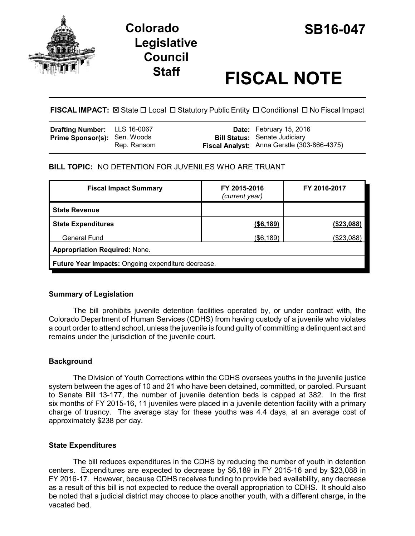



# **Staff FISCAL NOTE**

**FISCAL IMPACT:** ⊠ State  $\Box$  Local  $\Box$  Statutory Public Entity  $\Box$  Conditional  $\Box$  No Fiscal Impact

| <b>Drafting Number:</b> LLS 16-0067 |             | <b>Date:</b> February 15, 2016                                                      |
|-------------------------------------|-------------|-------------------------------------------------------------------------------------|
| <b>Prime Sponsor(s): Sen. Woods</b> | Rep. Ransom | <b>Bill Status:</b> Senate Judiciary<br>Fiscal Analyst: Anna Gerstle (303-866-4375) |

## **BILL TOPIC:** NO DETENTION FOR JUVENILES WHO ARE TRUANT

| <b>Fiscal Impact Summary</b>                       | FY 2015-2016<br>(current year) | FY 2016-2017  |  |  |
|----------------------------------------------------|--------------------------------|---------------|--|--|
| <b>State Revenue</b>                               |                                |               |  |  |
| <b>State Expenditures</b>                          | ( \$6,189)                     | $($ \$23,088) |  |  |
| <b>General Fund</b>                                | (\$6,189)                      | (\$23,088)    |  |  |
| <b>Appropriation Required: None.</b>               |                                |               |  |  |
| Future Year Impacts: Ongoing expenditure decrease. |                                |               |  |  |

## **Summary of Legislation**

The bill prohibits juvenile detention facilities operated by, or under contract with, the Colorado Department of Human Services (CDHS) from having custody of a juvenile who violates a court order to attend school, unless the juvenile is found guilty of committing a delinquent act and remains under the jurisdiction of the juvenile court.

## **Background**

The Division of Youth Corrections within the CDHS oversees youths in the juvenile justice system between the ages of 10 and 21 who have been detained, committed, or paroled. Pursuant to Senate Bill 13-177, the number of juvenile detention beds is capped at 382. In the first six months of FY 2015-16, 11 juveniles were placed in a juvenile detention facility with a primary charge of truancy. The average stay for these youths was 4.4 days, at an average cost of approximately \$238 per day.

## **State Expenditures**

The bill reduces expenditures in the CDHS by reducing the number of youth in detention centers. Expenditures are expected to decrease by \$6,189 in FY 2015-16 and by \$23,088 in FY 2016-17. However, because CDHS receives funding to provide bed availability, any decrease as a result of this bill is not expected to reduce the overall appropriation to CDHS. It should also be noted that a judicial district may choose to place another youth, with a different charge, in the vacated bed.